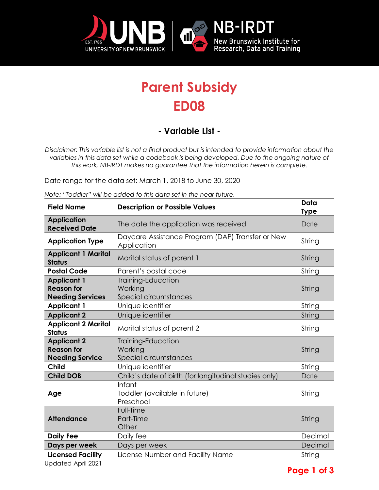

## **Parent Subsidy ED08**

## **- Variable List -**

*Disclaimer: This variable list is not a final product but is intended to provide information about the variables in this data set while a codebook is being developed. Due to the ongoing nature of this work, NB-IRDT makes no guarantee that the information herein is complete.* 

Date range for the data set: March 1, 2018 to June 30, 2020

*Note: "Toddler" will be added to this data set in the near future.* 

| <b>Field Name</b>                           | <b>Description or Possible Values</b>                           | Data<br><b>Type</b> |
|---------------------------------------------|-----------------------------------------------------------------|---------------------|
| <b>Application</b><br><b>Received Date</b>  | The date the application was received                           | Date                |
| <b>Application Type</b>                     | Daycare Assistance Program (DAP) Transfer or New<br>Application | String              |
| <b>Applicant 1 Marital</b><br><b>Status</b> | Marital status of parent 1                                      | String              |
| <b>Postal Code</b>                          | Parent's postal code                                            | String              |
| <b>Applicant 1</b>                          | Training-Education                                              |                     |
| <b>Reason for</b>                           | Working                                                         | String              |
| <b>Needing Services</b>                     | Special circumstances                                           |                     |
| <b>Applicant 1</b>                          | Unique identifier                                               | String              |
| <b>Applicant 2</b>                          | Unique identifier                                               | String              |
| <b>Applicant 2 Marital</b><br><b>Status</b> | Marital status of parent 2                                      | String              |
| <b>Applicant 2</b>                          | Training-Education                                              |                     |
| <b>Reason for</b>                           | Working                                                         | String              |
| <b>Needing Service</b>                      | Special circumstances                                           |                     |
| <b>Child</b>                                | Unique identifier                                               | String              |
| <b>Child DOB</b>                            | Child's date of birth (for longitudinal studies only)           | Date                |
| Age                                         | Infant<br>Toddler (available in future)<br>Preschool            | String              |
| <b>Attendance</b>                           | Full-Time<br>Part-Time<br>Other                                 | String              |
| <b>Daily Fee</b>                            | Daily fee                                                       | Decimal             |
| Days per week                               | Days per week                                                   | Decimal             |
| <b>Licensed Facility</b>                    | License Number and Facility Name                                | String              |
| $-1 - 1 = 1$ A $-1$ 0001                    |                                                                 |                     |

Updated April 2021

**Page 1 of 3**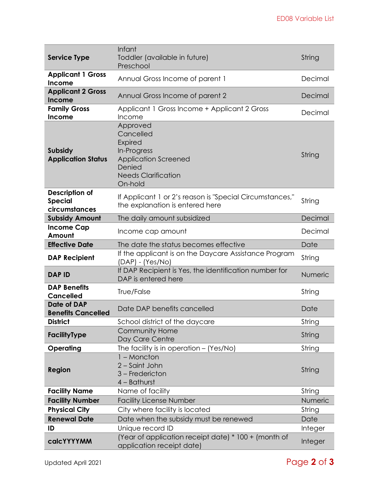|                                                          | Infant                                                                                                                                   |         |
|----------------------------------------------------------|------------------------------------------------------------------------------------------------------------------------------------------|---------|
| <b>Service Type</b>                                      | Toddler (available in future)<br>Preschool                                                                                               | String  |
| <b>Applicant 1 Gross</b><br><b>Income</b>                | Annual Gross Income of parent 1                                                                                                          | Decimal |
| <b>Applicant 2 Gross</b><br>Income                       | Annual Gross Income of parent 2                                                                                                          |         |
| <b>Family Gross</b><br>Income                            | Applicant 1 Gross Income + Applicant 2 Gross<br>Income                                                                                   | Decimal |
| <b>Subsidy</b><br><b>Application Status</b>              | Approved<br>Cancelled<br><b>Expired</b><br>In-Progress<br><b>Application Screened</b><br>Denied<br><b>Needs Clarification</b><br>On-hold | String  |
| <b>Description of</b><br><b>Special</b><br>circumstances | If Applicant 1 or 2's reason is "Special Circumstances,"<br>the explanation is entered here                                              | String  |
| <b>Subsidy Amount</b>                                    | The daily amount subsidized                                                                                                              | Decimal |
| <b>Income Cap</b><br>Amount                              | Income cap amount                                                                                                                        | Decimal |
| <b>Effective Date</b>                                    | The date the status becomes effective                                                                                                    | Date    |
| <b>DAP Recipient</b>                                     | If the applicant is on the Daycare Assistance Program<br>$(DAP) - (Yes/NO)$                                                              |         |
| <b>DAP ID</b>                                            | If DAP Recipient is Yes, the identification number for<br>DAP is entered here                                                            |         |
| <b>DAP Benefits</b><br><b>Cancelled</b>                  | True/False                                                                                                                               |         |
| <b>Date of DAP</b><br><b>Benefits Cancelled</b>          | Date DAP benefits cancelled                                                                                                              | Date    |
| <b>District</b>                                          | School district of the daycare                                                                                                           | String  |
| FacilityType                                             | <b>Community Home</b><br>Day Care Centre                                                                                                 | String  |
| Operating                                                | The facility is in operation $-$ (Yes/No)                                                                                                | String  |
| Region                                                   | $1 -$ Moncton<br>2 – Saint John<br>3 - Fredericton<br>4 - Bathurst                                                                       | String  |
| <b>Facility Name</b>                                     | Name of facility                                                                                                                         | String  |
| <b>Facility Number</b>                                   | <b>Facility License Number</b>                                                                                                           | Numeric |
| <b>Physical City</b>                                     | City where facility is located                                                                                                           | String  |
| <b>Renewal Date</b>                                      | Date when the subsidy must be renewed                                                                                                    | Date    |
| ID                                                       | Unique record ID                                                                                                                         | Integer |
| calcYYYYMM                                               | (Year of application receipt date) * 100 + (month of<br>application receipt date)                                                        | Integer |